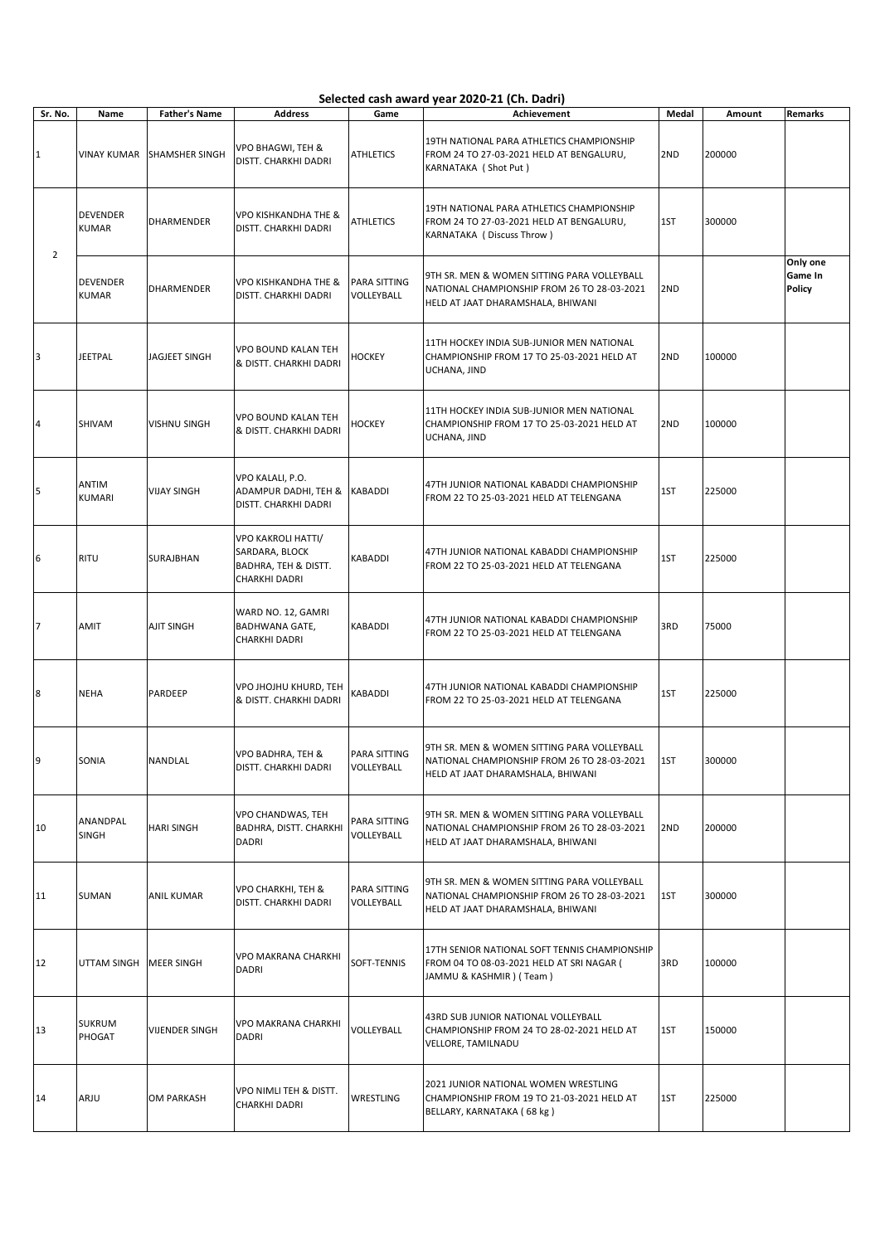## Selected cash award year 2020-21 (Ch. Dadri)

| Sr. No.        | Name                            | <b>Father's Name</b>  | <b>Address</b>                                                                       | Game                              | Achievement                                                                                                                     | Medal | Amount | Remarks                       |
|----------------|---------------------------------|-----------------------|--------------------------------------------------------------------------------------|-----------------------------------|---------------------------------------------------------------------------------------------------------------------------------|-------|--------|-------------------------------|
| $\mathbf{1}$   | <b>VINAY KUMAR</b>              | <b>SHAMSHER SINGH</b> | VPO BHAGWI, TEH &<br>DISTT. CHARKHI DADRI                                            | <b>ATHLETICS</b>                  | 19TH NATIONAL PARA ATHLETICS CHAMPIONSHIP<br>FROM 24 TO 27-03-2021 HELD AT BENGALURU,<br>KARNATAKA (Shot Put)                   | 2ND   | 200000 |                               |
| $\overline{2}$ | <b>DEVENDER</b><br><b>KUMAR</b> | DHARMENDER            | <b>VPO KISHKANDHA THE &amp;</b><br>DISTT. CHARKHI DADRI                              | ATHLETICS                         | 19TH NATIONAL PARA ATHLETICS CHAMPIONSHIP<br>FROM 24 TO 27-03-2021 HELD AT BENGALURU,<br>KARNATAKA (Discuss Throw)              | 1ST   | 300000 |                               |
|                | <b>DEVENDER</b><br><b>KUMAR</b> | <b>DHARMENDER</b>     | <b>VPO KISHKANDHA THE &amp;</b><br>DISTT. CHARKHI DADRI                              | <b>PARA SITTING</b><br>VOLLEYBALL | 9TH SR. MEN & WOMEN SITTING PARA VOLLEYBALL<br>NATIONAL CHAMPIONSHIP FROM 26 TO 28-03-2021<br>HELD AT JAAT DHARAMSHALA, BHIWANI | 2ND   |        | Only one<br>Game In<br>Policy |
| 3              | <b>JEETPAL</b>                  | <b>JAGJEET SINGH</b>  | VPO BOUND KALAN TEH<br>& DISTT. CHARKHI DADRI                                        | <b>HOCKEY</b>                     | 11TH HOCKEY INDIA SUB-JUNIOR MEN NATIONAL<br>CHAMPIONSHIP FROM 17 TO 25-03-2021 HELD AT<br>UCHANA, JIND                         | 2ND   | 100000 |                               |
| 4              | <b>SHIVAM</b>                   | <b>VISHNU SINGH</b>   | <b>VPO BOUND KALAN TEH</b><br>& DISTT. CHARKHI DADRI                                 | HOCKEY                            | 11TH HOCKEY INDIA SUB-JUNIOR MEN NATIONAL<br>CHAMPIONSHIP FROM 17 TO 25-03-2021 HELD AT<br>UCHANA, JIND                         | 2ND   | 100000 |                               |
| 5              | <b>ANTIM</b><br><b>KUMARI</b>   | <b>VIJAY SINGH</b>    | VPO KALALI, P.O.<br>ADAMPUR DADHI, TEH &<br>DISTT. CHARKHI DADRI                     | <b>KABADDI</b>                    | 47TH JUNIOR NATIONAL KABADDI CHAMPIONSHIP<br>FROM 22 TO 25-03-2021 HELD AT TELENGANA                                            | 1ST   | 225000 |                               |
| 6              | <b>RITU</b>                     | SURAJBHAN             | <b>VPO KAKROLI HATTI/</b><br>SARDARA, BLOCK<br>BADHRA, TEH & DISTT.<br>CHARKHI DADRI | KABADDI                           | 47TH JUNIOR NATIONAL KABADDI CHAMPIONSHIP<br>FROM 22 TO 25-03-2021 HELD AT TELENGANA                                            | 1ST   | 225000 |                               |
| 7              | AMIT                            | <b>AJIT SINGH</b>     | WARD NO. 12, GAMRI<br><b>BADHWANA GATE,</b><br>CHARKHI DADRI                         | KABADDI                           | 47TH JUNIOR NATIONAL KABADDI CHAMPIONSHIP<br>FROM 22 TO 25-03-2021 HELD AT TELENGANA                                            | 3RD   | 75000  |                               |
| 8              | <b>NEHA</b>                     | PARDEEP               | VPO JHOJHU KHURD, TEH<br>& DISTT. CHARKHI DADRI                                      | KABADDI                           | 47TH JUNIOR NATIONAL KABADDI CHAMPIONSHIP<br>FROM 22 TO 25-03-2021 HELD AT TELENGANA                                            | 1ST   | 225000 |                               |
| 9              | SONIA                           | NANDLAL               | VPO BADHRA, TEH &<br>DISTT. CHARKHI DADRI                                            | PARA SITTING<br>VOLLEYBALL        | 9TH SR. MEN & WOMEN SITTING PARA VOLLEYBALL<br>NATIONAL CHAMPIONSHIP FROM 26 TO 28-03-2021<br>HELD AT JAAT DHARAMSHALA, BHIWANI | 1ST   | 300000 |                               |
| 10             | ANANDPAL<br><b>SINGH</b>        | <b>HARI SINGH</b>     | VPO CHANDWAS, TEH<br>BADHRA, DISTT. CHARKHI<br><b>DADRI</b>                          | PARA SITTING<br>VOLLEYBALL        | 9TH SR. MEN & WOMEN SITTING PARA VOLLEYBALL<br>NATIONAL CHAMPIONSHIP FROM 26 TO 28-03-2021<br>HELD AT JAAT DHARAMSHALA, BHIWANI | 2ND   | 200000 |                               |
| 11             | SUMAN                           | <b>ANIL KUMAR</b>     | VPO CHARKHI, TEH &<br>DISTT. CHARKHI DADRI                                           | PARA SITTING<br>VOLLEYBALL        | 9TH SR. MEN & WOMEN SITTING PARA VOLLEYBALL<br>NATIONAL CHAMPIONSHIP FROM 26 TO 28-03-2021<br>HELD AT JAAT DHARAMSHALA, BHIWANI | 1ST   | 300000 |                               |
| 12             | UTTAM SINGH MEER SINGH          |                       | VPO MAKRANA CHARKHI<br><b>DADRI</b>                                                  | SOFT-TENNIS                       | 17TH SENIOR NATIONAL SOFT TENNIS CHAMPIONSHIP<br>FROM 04 TO 08-03-2021 HELD AT SRI NAGAR (<br>JAMMU & KASHMIR ) (Team)          | 3RD   | 100000 |                               |
| 13             | <b>SUKRUM</b><br>PHOGAT         | <b>VIJENDER SINGH</b> | VPO MAKRANA CHARKHI<br>DADRI                                                         | VOLLEYBALL                        | 43RD SUB JUNIOR NATIONAL VOLLEYBALL<br>CHAMPIONSHIP FROM 24 TO 28-02-2021 HELD AT<br>VELLORE, TAMILNADU                         | 1ST   | 150000 |                               |
| 14             | ARJU                            | OM PARKASH            | VPO NIMLI TEH & DISTT.<br>CHARKHI DADRI                                              | WRESTLING                         | 2021 JUNIOR NATIONAL WOMEN WRESTLING<br>CHAMPIONSHIP FROM 19 TO 21-03-2021 HELD AT<br>BELLARY, KARNATAKA (68 kg)                | 1ST   | 225000 |                               |